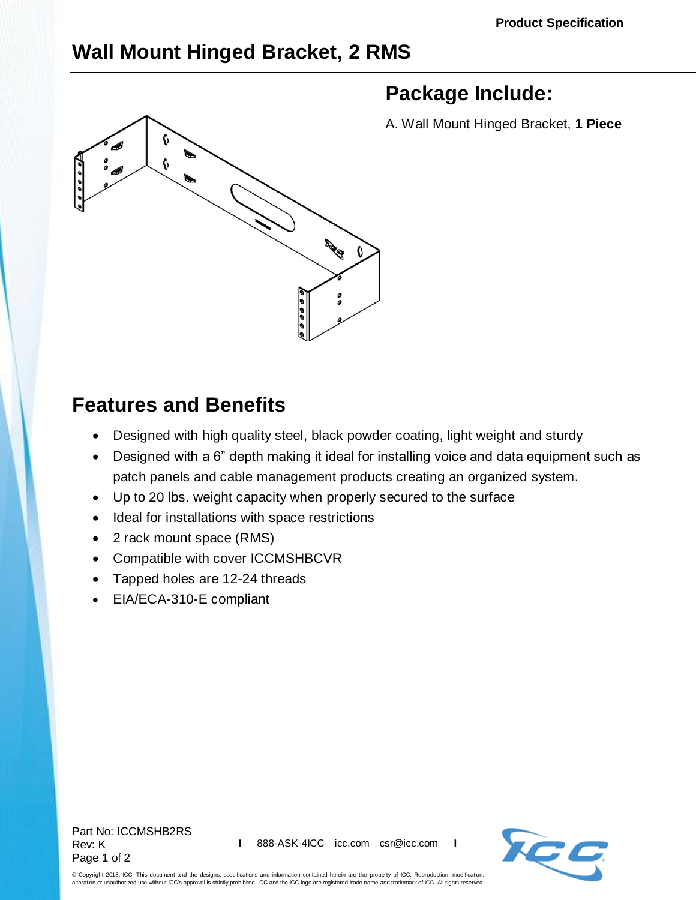## **Wall Mount Hinged Bracket, 2 RMS**



## **Package Include:**

A. Wall Mount Hinged Bracket, **1 Piece**

## **Features and Benefits**

- Designed with high quality steel, black powder coating, light weight and sturdy
- Designed with a 6" depth making it ideal for installing voice and data equipment such as patch panels and cable management products creating an organized system.
- Up to 20 lbs. weight capacity when properly secured to the surface
- Ideal for installations with space restrictions
- 2 rack mount space (RMS)
- Compatible with cover [ICCMSHBCVR](http://www.icc.com/p/444/wall-mount-bracket-hinged-cover)
- Tapped holes are 12-24 threads
- EIA/ECA-310-E compliant

Part No: ICCMSHB2RS Rev: K Page 1 of 2



© Copyright 2018, ICC. This document and the designs, specifications and information contained herein are the property of ICC. Reproduction, modification, alteration or unauthorized use without ICC's approval is strictly prohibited. ICC and the ICC logo are registered trade name and trademark of ICC. All rights reserved.